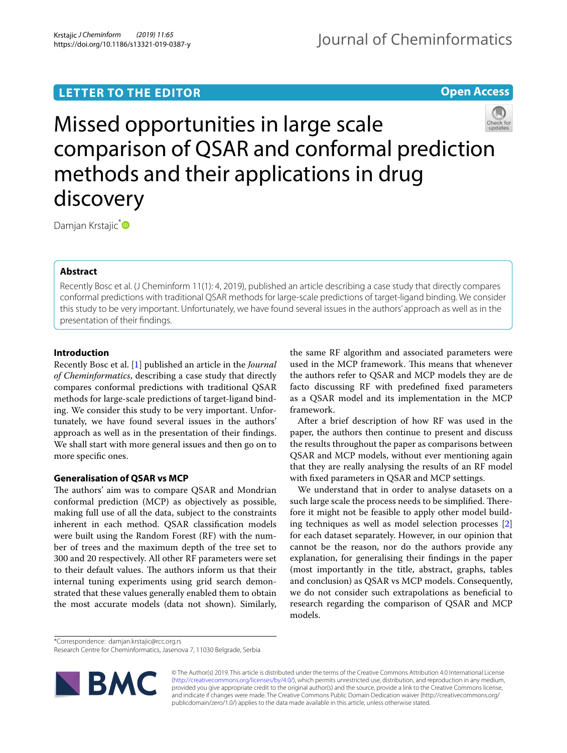# **LETTER TO THE EDITOR**

**Open Access**



Missed opportunities in large scale comparison of QSAR and conformal prediction methods and their applications in drug discovery

Damjan Krstajic<sup>[\\*](http://orcid.org/0000-0002-7381-8570)</sup>

# **Abstract**

Recently Bosc et al. (J Cheminform 11(1): 4, 2019), published an article describing a case study that directly compares conformal predictions with traditional QSAR methods for large-scale predictions of target-ligand binding. We consider this study to be very important. Unfortunately, we have found several issues in the authors' approach as well as in the presentation of their fndings.

# **Introduction**

Recently Bosc et al. [\[1](#page-4-0)] published an article in the *Journal of Cheminformatics*, describing a case study that directly compares conformal predictions with traditional QSAR methods for large-scale predictions of target-ligand binding. We consider this study to be very important. Unfortunately, we have found several issues in the authors' approach as well as in the presentation of their fndings. We shall start with more general issues and then go on to more specifc ones.

# **Generalisation of QSAR vs MCP**

The authors' aim was to compare QSAR and Mondrian conformal prediction (MCP) as objectively as possible, making full use of all the data, subject to the constraints inherent in each method. QSAR classifcation models were built using the Random Forest (RF) with the number of trees and the maximum depth of the tree set to 300 and 20 respectively. All other RF parameters were set to their default values. The authors inform us that their internal tuning experiments using grid search demonstrated that these values generally enabled them to obtain the most accurate models (data not shown). Similarly, the same RF algorithm and associated parameters were used in the MCP framework. This means that whenever the authors refer to QSAR and MCP models they are de facto discussing RF with predefned fxed parameters as a QSAR model and its implementation in the MCP framework.

After a brief description of how RF was used in the paper, the authors then continue to present and discuss the results throughout the paper as comparisons between QSAR and MCP models, without ever mentioning again that they are really analysing the results of an RF model with fxed parameters in QSAR and MCP settings.

We understand that in order to analyse datasets on a such large scale the process needs to be simplified. Therefore it might not be feasible to apply other model building techniques as well as model selection processes [\[2](#page-4-1)] for each dataset separately. However, in our opinion that cannot be the reason, nor do the authors provide any explanation, for generalising their fndings in the paper (most importantly in the title, abstract, graphs, tables and conclusion) as QSAR vs MCP models. Consequently, we do not consider such extrapolations as benefcial to research regarding the comparison of QSAR and MCP models.

\*Correspondence: damjan.krstajic@rcc.org.rs

Research Centre for Cheminformatics, Jasenova 7, 11030 Belgrade, Serbia



© The Author(s) 2019. This article is distributed under the terms of the Creative Commons Attribution 4.0 International License [\(http://creativecommons.org/licenses/by/4.0/\)](http://creativecommons.org/licenses/by/4.0/), which permits unrestricted use, distribution, and reproduction in any medium, provided you give appropriate credit to the original author(s) and the source, provide a link to the Creative Commons license, and indicate if changes were made. The Creative Commons Public Domain Dedication waiver (http://creativecommons.org/ publicdomain/zero/1.0/) applies to the data made available in this article, unless otherwise stated.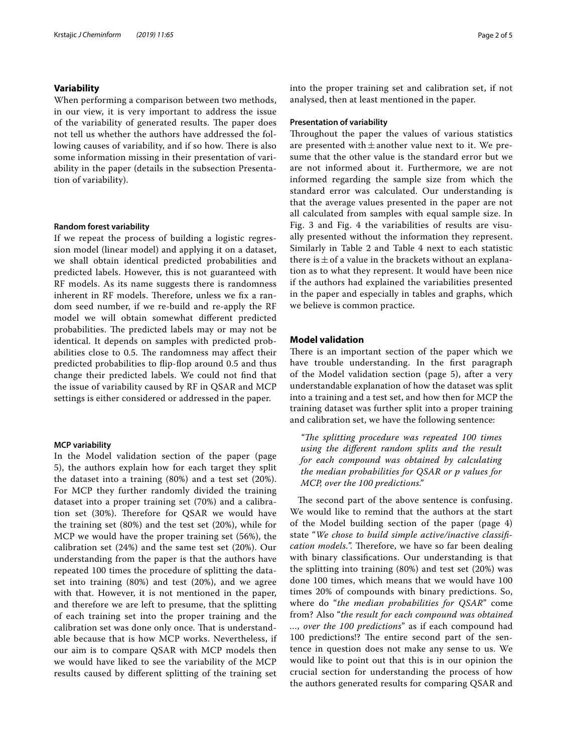### **Variability**

When performing a comparison between two methods, in our view, it is very important to address the issue of the variability of generated results. The paper does not tell us whether the authors have addressed the following causes of variability, and if so how. There is also some information missing in their presentation of variability in the paper (details in the subsection Presentation of variability).

#### **Random forest variability**

If we repeat the process of building a logistic regression model (linear model) and applying it on a dataset, we shall obtain identical predicted probabilities and predicted labels. However, this is not guaranteed with RF models. As its name suggests there is randomness inherent in RF models. Therefore, unless we fix a random seed number, if we re-build and re-apply the RF model we will obtain somewhat diferent predicted probabilities. The predicted labels may or may not be identical. It depends on samples with predicted probabilities close to 0.5. The randomness may affect their predicted probabilities to fip-fop around 0.5 and thus change their predicted labels. We could not fnd that the issue of variability caused by RF in QSAR and MCP settings is either considered or addressed in the paper.

### **MCP variability**

In the Model validation section of the paper (page 5), the authors explain how for each target they split the dataset into a training (80%) and a test set (20%). For MCP they further randomly divided the training dataset into a proper training set (70%) and a calibration set (30%). Therefore for QSAR we would have the training set (80%) and the test set (20%), while for MCP we would have the proper training set (56%), the calibration set (24%) and the same test set (20%). Our understanding from the paper is that the authors have repeated 100 times the procedure of splitting the dataset into training (80%) and test (20%), and we agree with that. However, it is not mentioned in the paper, and therefore we are left to presume, that the splitting of each training set into the proper training and the calibration set was done only once. That is understandable because that is how MCP works. Nevertheless, if our aim is to compare QSAR with MCP models then we would have liked to see the variability of the MCP results caused by diferent splitting of the training set into the proper training set and calibration set, if not analysed, then at least mentioned in the paper.

### **Presentation of variability**

Throughout the paper the values of various statistics are presented with  $\pm$  another value next to it. We presume that the other value is the standard error but we are not informed about it. Furthermore, we are not informed regarding the sample size from which the standard error was calculated. Our understanding is that the average values presented in the paper are not all calculated from samples with equal sample size. In Fig. 3 and Fig. 4 the variabilities of results are visually presented without the information they represent. Similarly in Table 2 and Table 4 next to each statistic there is  $\pm$  of a value in the brackets without an explanation as to what they represent. It would have been nice if the authors had explained the variabilities presented in the paper and especially in tables and graphs, which we believe is common practice.

### **Model validation**

There is an important section of the paper which we have trouble understanding. In the frst paragraph of the Model validation section (page 5), after a very understandable explanation of how the dataset was split into a training and a test set, and how then for MCP the training dataset was further split into a proper training and calibration set, we have the following sentence:

*"Te splitting procedure was repeated 100 times using the diferent random splits and the result for each compound was obtained by calculating the median probabilities for QSAR or p values for MCP, over the 100 predictions."*

The second part of the above sentence is confusing. We would like to remind that the authors at the start of the Model building section of the paper (page 4) state "*We chose to build simple active/inactive classifcation models.*". Therefore, we have so far been dealing with binary classifcations. Our understanding is that the splitting into training (80%) and test set (20%) was done 100 times, which means that we would have 100 times 20% of compounds with binary predictions. So, where do "*the median probabilities for QSAR*" come from? Also "*the result for each compound was obtained* 

*…, over the 100 predictions*" as if each compound had 100 predictions!? The entire second part of the sentence in question does not make any sense to us. We would like to point out that this is in our opinion the crucial section for understanding the process of how the authors generated results for comparing QSAR and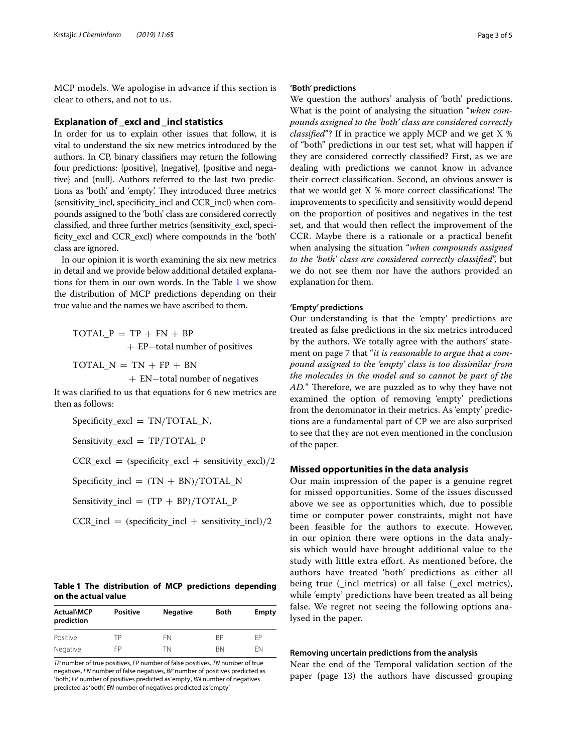MCP models. We apologise in advance if this section is clear to others, and not to us.

#### **Explanation of \_excl and \_incl statistics**

In order for us to explain other issues that follow, it is vital to understand the six new metrics introduced by the authors. In CP, binary classifers may return the following four predictions: {positive}, {negative}, {positive and negative} and {null}. Authors referred to the last two predictions as 'both' and 'empty'. They introduced three metrics (sensitivity\_incl, specifcity\_incl and CCR\_incl) when compounds assigned to the 'both' class are considered correctly classifed, and three further metrics (sensitivity\_excl, specificity\_excl and CCR\_excl) where compounds in the 'both' class are ignored.

In our opinion it is worth examining the six new metrics in detail and we provide below additional detailed explanations for them in our own words. In the Table [1](#page-2-0) we show the distribution of MCP predictions depending on their true value and the names we have ascribed to them.

TOTAL  $P = TP + FN + BP$ + EP−total number of positives

TOTAL  $N = TN + FP + BN$ 

+ EN−total number of negatives

It was clarifed to us that equations for 6 new metrics are then as follows:

 $Specificity\_excl = TN/TOTAL_N$ ,

Sensitivity\_excl = TP/TOTAL\_P

 $CCR\_excl =$  (specificity\_excl + sensitivity\_excl)/2

 $Specificity\_incl = (TN + BN)/TOTAL_N$ 

Sensitivity\_incl =  $(TP + BP)/TOTAL_P$ 

 $CCR\_incl = (specificity\_incl + sensitivity\_incl)/2$ 

### <span id="page-2-0"></span>**Table 1 The distribution of MCP predictions depending on the actual value**

| Actual\MCP<br>prediction | <b>Positive</b> | <b>Negative</b> | Both      | Empty |
|--------------------------|-----------------|-----------------|-----------|-------|
| Positive                 | TΡ              | FN              | <b>RP</b> | FP    |
| Negative                 | FP              | TN              | <b>BN</b> | FN    |

*TP* number of true positives, *FP* number of false positives, *TN* number of true negatives, *FN* number of false negatives, *BP* number of positives predicted as 'both', *EP* number of positives predicted as 'empty', *BN* number of negatives predicted as 'both', *EN* number of negatives predicted as 'empty'

### **'Both' predictions**

We question the authors' analysis of 'both' predictions. What is the point of analysing the situation "*when compounds assigned to the 'both' class are considered correctly classifed*"? If in practice we apply MCP and we get X % of "both" predictions in our test set, what will happen if they are considered correctly classifed? First, as we are dealing with predictions we cannot know in advance their correct classifcation. Second, an obvious answer is that we would get  $X$  % more correct classifications! The improvements to specifcity and sensitivity would depend on the proportion of positives and negatives in the test set, and that would then refect the improvement of the CCR. Maybe there is a rationale or a practical beneft when analysing the situation "*when compounds assigned to the 'both' class are considered correctly classifed*", but we do not see them nor have the authors provided an explanation for them.

### **'Empty' predictions**

Our understanding is that the 'empty' predictions are treated as false predictions in the six metrics introduced by the authors. We totally agree with the authors' statement on page 7 that "*it is reasonable to argue that a compound assigned to the 'empty' class is too dissimilar from the molecules in the model and so cannot be part of the AD.*" Therefore, we are puzzled as to why they have not examined the option of removing 'empty' predictions from the denominator in their metrics. As 'empty' predictions are a fundamental part of CP we are also surprised to see that they are not even mentioned in the conclusion of the paper.

### **Missed opportunities in the data analysis**

Our main impression of the paper is a genuine regret for missed opportunities. Some of the issues discussed above we see as opportunities which, due to possible time or computer power constraints, might not have been feasible for the authors to execute. However, in our opinion there were options in the data analysis which would have brought additional value to the study with little extra efort. As mentioned before, the authors have treated 'both' predictions as either all being true (\_incl metrics) or all false (\_excl metrics), while 'empty' predictions have been treated as all being false. We regret not seeing the following options analysed in the paper.

### **Removing uncertain predictions from the analysis**

Near the end of the Temporal validation section of the paper (page 13) the authors have discussed grouping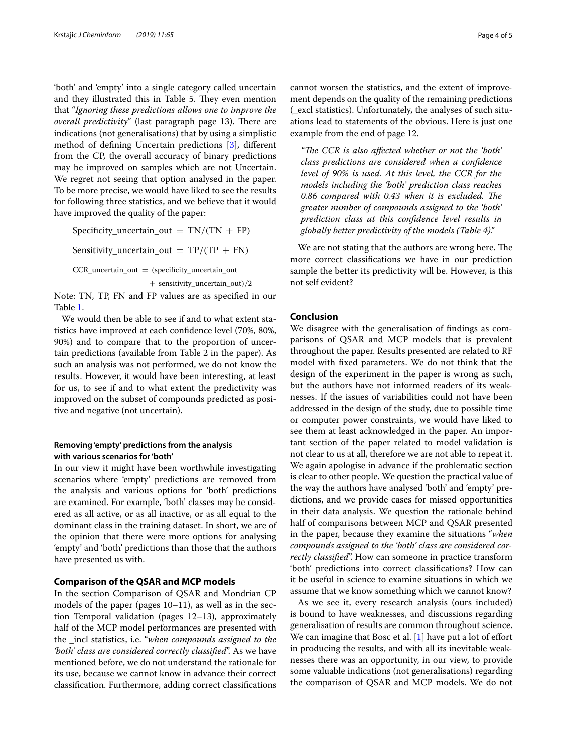'both' and 'empty' into a single category called uncertain and they illustrated this in Table 5. They even mention that "*Ignoring these predictions allows one to improve the overall predictivity*" (last paragraph page 13). There are indications (not generalisations) that by using a simplistic method of defning Uncertain predictions [\[3](#page-4-2)], diferent from the CP, the overall accuracy of binary predictions may be improved on samples which are not Uncertain. We regret not seeing that option analysed in the paper. To be more precise, we would have liked to see the results for following three statistics, and we believe that it would have improved the quality of the paper:

Specificity\_uncertain\_out =  $TN/(TN + FP)$ Sensitivity\_uncertain\_out =  $TP/(TP + FN)$ CCR\_uncertain\_out = (specificity\_uncertain\_out + sensitivity uncertain out)/2

Note: TN, TP, FN and FP values are as specifed in our Table [1](#page-2-0).

We would then be able to see if and to what extent statistics have improved at each confdence level (70%, 80%, 90%) and to compare that to the proportion of uncertain predictions (available from Table 2 in the paper). As such an analysis was not performed, we do not know the results. However, it would have been interesting, at least for us, to see if and to what extent the predictivity was improved on the subset of compounds predicted as positive and negative (not uncertain).

### **Removing 'empty' predictions from the analysis with various scenarios for 'both'**

In our view it might have been worthwhile investigating scenarios where 'empty' predictions are removed from the analysis and various options for 'both' predictions are examined. For example, 'both' classes may be considered as all active, or as all inactive, or as all equal to the dominant class in the training dataset. In short, we are of the opinion that there were more options for analysing 'empty' and 'both' predictions than those that the authors have presented us with.

### **Comparison of the QSAR and MCP models**

In the section Comparison of QSAR and Mondrian CP models of the paper (pages 10–11), as well as in the section Temporal validation (pages 12–13), approximately half of the MCP model performances are presented with the \_incl statistics, i.e. "*when compounds assigned to the 'both' class are considered correctly classifed*". As we have mentioned before, we do not understand the rationale for its use, because we cannot know in advance their correct classifcation. Furthermore, adding correct classifcations cannot worsen the statistics, and the extent of improvement depends on the quality of the remaining predictions (\_excl statistics). Unfortunately, the analyses of such situations lead to statements of the obvious. Here is just one example from the end of page 12.

"The CCR is also affected whether or not the 'both' *class predictions are considered when a confdence level of 90% is used. At this level, the CCR for the models including the 'both' prediction class reaches*  0.86 compared with 0.43 when it is excluded. The *greater number of compounds assigned to the 'both' prediction class at this confdence level results in globally better predictivity of the models (Table 4)."*

We are not stating that the authors are wrong here. The more correct classifcations we have in our prediction sample the better its predictivity will be. However, is this not self evident?

### **Conclusion**

We disagree with the generalisation of fndings as comparisons of QSAR and MCP models that is prevalent throughout the paper. Results presented are related to RF model with fxed parameters. We do not think that the design of the experiment in the paper is wrong as such, but the authors have not informed readers of its weaknesses. If the issues of variabilities could not have been addressed in the design of the study, due to possible time or computer power constraints, we would have liked to see them at least acknowledged in the paper. An important section of the paper related to model validation is not clear to us at all, therefore we are not able to repeat it. We again apologise in advance if the problematic section is clear to other people. We question the practical value of the way the authors have analysed 'both' and 'empty' predictions, and we provide cases for missed opportunities in their data analysis. We question the rationale behind half of comparisons between MCP and QSAR presented in the paper, because they examine the situations "*when compounds assigned to the 'both' class are considered correctly classifed*". How can someone in practice transform 'both' predictions into correct classifcations? How can it be useful in science to examine situations in which we assume that we know something which we cannot know?

As we see it, every research analysis (ours included) is bound to have weaknesses, and discussions regarding generalisation of results are common throughout science. We can imagine that Bosc et al.  $[1]$  $[1]$  have put a lot of effort in producing the results, and with all its inevitable weaknesses there was an opportunity, in our view, to provide some valuable indications (not generalisations) regarding the comparison of QSAR and MCP models. We do not